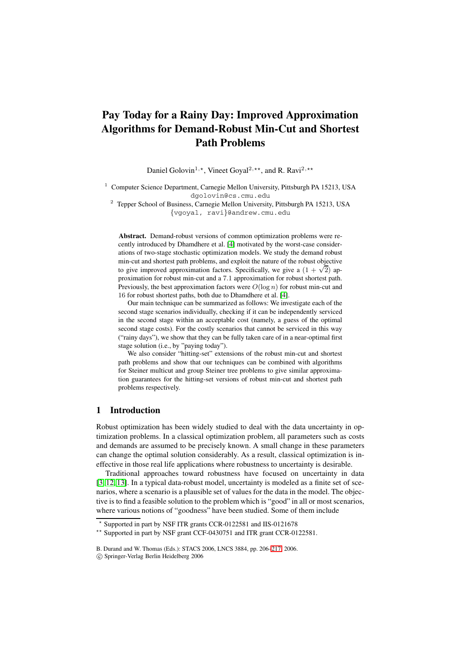# **Pay Today for a Rainy Day: Improved Approximation Algorithms for Demand-Robust Min-Cut and Shortest Path Problems**

Daniel Golovin<sup>1,\*</sup>, Vineet Goyal<sup>2,\*\*</sup>, and R. Ravi<sup>2,\*\*</sup>

<sup>1</sup> Computer Science Department, Carnegie Mellon University, Pittsburgh PA 15213, USA dgolovin@cs.cmu.edu

<sup>2</sup> Tepper School of Business, Carnegie Mellon University, Pittsburgh PA 15213, USA {vgoyal, ravi}@andrew.cmu.edu

**Abstract.** Demand-robust versions of common optimization problems were recently introduced by Dhamdhere et al. [\[4\]](#page-11-0) motivated by the worst-case considerations of two-stage stochastic optimization models. We study the demand robust min-cut and shortest path problems, and exploit the nature of the robust objective to give improved approximation factors. Specifically, we give a  $(1 + \sqrt{2})$  approximation for robust min-cut and a 7.1 approximation for robust shortest path. Previously, the best approximation factors were  $O(\log n)$  for robust min-cut and 16 for robust shortest paths, both due to Dhamdhere et al. [\[4\]](#page-11-0).

Our main technique can be summarized as follows: We investigate each of the second stage scenarios individually, checking if it can be independently serviced in the second stage within an acceptable cost (namely, a guess of the optimal second stage costs). For the costly scenarios that cannot be serviced in this way ("rainy days"), we show that they can be fully taken care of in a near-optimal first stage solution (i.e., by "paying today").

We also consider "hitting-set" extensions of the robust min-cut and shortest path problems and show that our techniques can be combined with algorithms for Steiner multicut and group Steiner tree problems to give similar approximation guarantees for the hitting-set versions of robust min-cut and shortest path problems respectively.

# **1 Introduction**

Robust optimization has been widely studied to deal with the data uncertainty in optimization problems. In a classical optimization problem, all parameters such as costs and demands are assumed to be precisely known. A small change in these parameters can change the optimal solution considerably. As a result, classical optimization is ineffective in those real life applications where robustness to uncertainty is desirable.

Traditional approaches toward robustness have focused on uncertainty in data [\[3,](#page-11-1) [12,](#page-11-2) [13\]](#page-11-3). In a typical data-robust model, uncertainty is modeled as a finite set of scenarios, where a scenario is a plausible set of values for the data in the model. The objective is to find a feasible solution to the problem which is "good" in all or most scenarios, where various notions of "goodness" have been studied. Some of them include

Supported in part by NSF ITR grants CCR-0122581 and IIS-0121678

<sup>\*\*</sup> Supported in part by NSF grant CCF-0430751 and ITR grant CCR-0122581.

B. Durand and W. Thomas (Eds.): STACS 2006, LNCS 3884, pp. 206[–217,](#page-11-4) 2006.

c Springer-Verlag Berlin Heidelberg 2006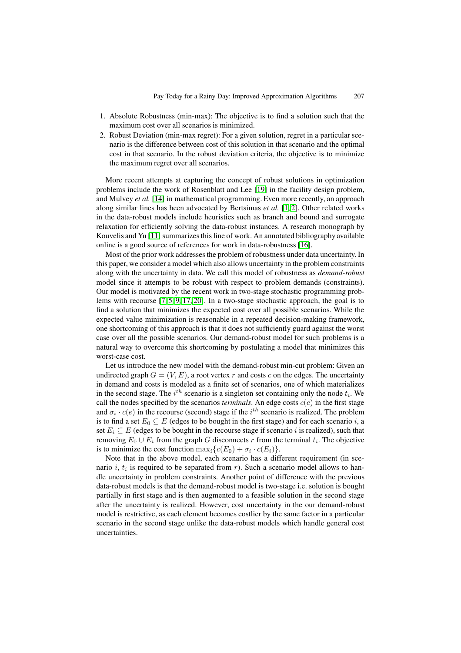- 1. Absolute Robustness (min-max): The objective is to find a solution such that the maximum cost over all scenarios is minimized.
- 2. Robust Deviation (min-max regret): For a given solution, regret in a particular scenario is the difference between cost of this solution in that scenario and the optimal cost in that scenario. In the robust deviation criteria, the objective is to minimize the maximum regret over all scenarios.

More recent attempts at capturing the concept of robust solutions in optimization problems include the work of Rosenblatt and Lee [\[19\]](#page-11-5) in the facility design problem, and Mulvey *et al.* [\[14\]](#page-11-6) in mathematical programming. Even more recently, an approach along similar lines has been advocated by Bertsimas *et al.* [\[1,](#page-11-7) [2\]](#page-11-8). Other related works in the data-robust models include heuristics such as branch and bound and surrogate relaxation for efficiently solving the data-robust instances. A research monograph by Kouvelis and Yu [\[11\]](#page-11-9) summarizes this line of work. An annotated bibliography available online is a good source of references for work in data-robustness [\[16\]](#page-11-10).

Most of the prior work addresses the problem of robustness under data uncertainty. In this paper, we consider a model which also allows uncertainty in the problem constraints along with the uncertainty in data. We call this model of robustness as *demand-robust* model since it attempts to be robust with respect to problem demands (constraints). Our model is motivated by the recent work in two-stage stochastic programming problems with recourse [\[7,](#page-11-11) [5,](#page-11-12) [9,](#page-11-13) [17,](#page-11-14) [20\]](#page-11-15). In a two-stage stochastic approach, the goal is to find a solution that minimizes the expected cost over all possible scenarios. While the expected value minimization is reasonable in a repeated decision-making framework, one shortcoming of this approach is that it does not sufficiently guard against the worst case over all the possible scenarios. Our demand-robust model for such problems is a natural way to overcome this shortcoming by postulating a model that minimizes this worst-case cost.

Let us introduce the new model with the demand-robust min-cut problem: Given an undirected graph  $G = (V, E)$ , a root vertex r and costs c on the edges. The uncertainty in demand and costs is modeled as a finite set of scenarios, one of which materializes in the second stage. The  $i^{th}$  scenario is a singleton set containing only the node  $t_i$ . We call the nodes specified by the scenarios *terminals*. An edge costs  $c(e)$  in the first stage and  $\sigma_i \cdot c(e)$  in the recourse (second) stage if the  $i^{th}$  scenario is realized. The problem is to find a set  $E_0 \subseteq E$  (edges to be bought in the first stage) and for each scenario i, a set  $E_i \subseteq E$  (edges to be bought in the recourse stage if scenario i is realized), such that removing  $E_0 \cup E_i$  from the graph G disconnects r from the terminal  $t_i$ . The objective is to minimize the cost function  $\max_i \{c(E_0) + \sigma_i \cdot c(E_i)\}.$ 

Note that in the above model, each scenario has a different requirement (in scenario i,  $t_i$  is required to be separated from r). Such a scenario model allows to handle uncertainty in problem constraints. Another point of difference with the previous data-robust models is that the demand-robust model is two-stage i.e. solution is bought partially in first stage and is then augmented to a feasible solution in the second stage after the uncertainty is realized. However, cost uncertainty in the our demand-robust model is restrictive, as each element becomes costlier by the same factor in a particular scenario in the second stage unlike the data-robust models which handle general cost uncertainties.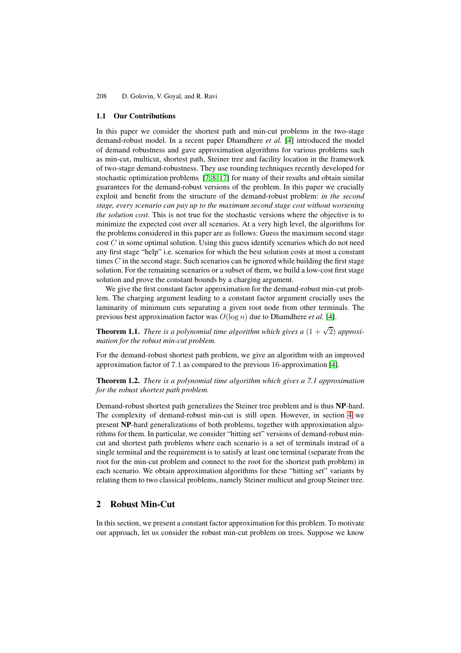### **1.1 Our Contributions**

In this paper we consider the shortest path and min-cut problems in the two-stage demand-robust model. In a recent paper Dhamdhere *et al.* [\[4\]](#page-11-0) introduced the model of demand robustness and gave approximation algorithms for various problems such as min-cut, multicut, shortest path, Steiner tree and facility location in the framework of two-stage demand-robustness. They use rounding techniques recently developed for stochastic optimization problems [\[7,](#page-11-11) [8,](#page-11-16) [17\]](#page-11-14) for many of their results and obtain similar guarantees for the demand-robust versions of the problem. In this paper we crucially exploit and benefit from the structure of the demand-robust problem: *in the second stage, every scenario can pay up to the maximum second stage cost without worsening the solution cost*. This is not true for the stochastic versions where the objective is to minimize the expected cost over all scenarios. At a very high level, the algorithms for the problems considered in this paper are as follows: Guess the maximum second stage cost  $C$  in some optimal solution. Using this guess identify scenarios which do not need any first stage "help" i.e. scenarios for which the best solution costs at most a constant times  $C$  in the second stage. Such scenarios can be ignored while building the first stage solution. For the remaining scenarios or a subset of them, we build a low-cost first stage solution and prove the constant bounds by a charging argument.

We give the first constant factor approximation for the demand-robust min-cut problem. The charging argument leading to a constant factor argument crucially uses the laminarity of minimum cuts separating a given root node from other terminals. The previous best approximation factor was O(log n) due to Dhamdhere *et al.* [\[4\]](#page-11-0).

<span id="page-2-0"></span>**Theorem 1.1.** *There is a polynomial time algorithm which gives a*  $(1 + \sqrt{2})$  *approximation for the robust min-cut problem.*

<span id="page-2-1"></span>For the demand-robust shortest path problem, we give an algorithm with an improved approximation factor of 7.1 as compared to the previous 16-approximation [\[4\]](#page-11-0).

**Theorem 1.2.** *There is a polynomial time algorithm which gives a 7.1 approximation for the robust shortest path problem.*

Demand-robust shortest path generalizes the Steiner tree problem and is thus **NP**-hard. The complexity of demand-robust min-cut is still open. However, in section [4](#page-8-0) we present **NP**-hard generalizations of both problems, together with approximation algorithms for them. In particular, we consider "hitting set" versions of demand-robust mincut and shortest path problems where each scenario is a set of terminals instead of a single terminal and the requirement is to satisfy at least one terminal (separate from the root for the min-cut problem and connect to the root for the shortest path problem) in each scenario. We obtain approximation algorithms for these "hitting set" variants by relating them to two classical problems, namely Steiner multicut and group Steiner tree.

## **2 Robust Min-Cut**

In this section, we present a constant factor approximation for this problem. To motivate our approach, let us consider the robust min-cut problem on trees. Suppose we know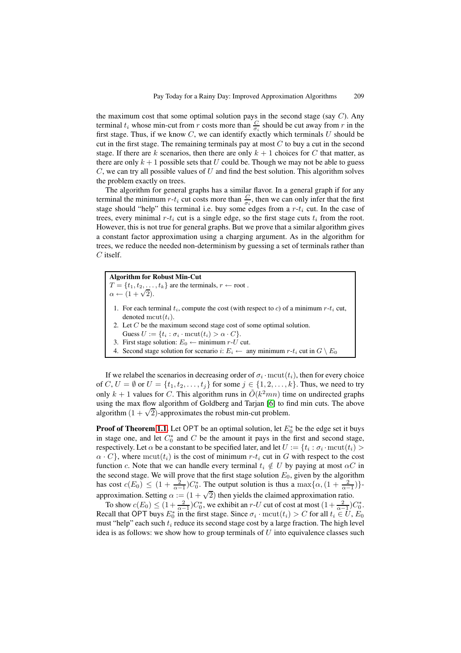the maximum cost that some optimal solution pays in the second stage (say  $C$ ). Any terminal  $t_i$  whose min-cut from r costs more than  $\frac{C}{\sigma_i}$  should be cut away from r in the first stage. Thus, if we know  $C$ , we can identify exactly which terminals  $U$  should be cut in the first stage. The remaining terminals pay at most  $C$  to buy a cut in the second stage. If there are k scenarios, then there are only  $k + 1$  choices for C that matter, as there are only  $k + 1$  possible sets that U could be. Though we may not be able to guess  $C$ , we can try all possible values of U and find the best solution. This algorithm solves the problem exactly on trees.

The algorithm for general graphs has a similar flavor. In a general graph if for any terminal the minimum r-t<sub>i</sub> cut costs more than  $\frac{C}{\sigma_i}$ , then we can only infer that the first stage should "help" this terminal i.e. buy some edges from a  $r-t_i$  cut. In the case of trees, every minimal  $r-t_i$  cut is a single edge, so the first stage cuts  $t_i$  from the root. However, this is not true for general graphs. But we prove that a similar algorithm gives a constant factor approximation using a charging argument. As in the algorithm for trees, we reduce the needed non-determinism by guessing a set of terminals rather than  $C$  itself.

## **Algorithm for Robust Min-Cut**

 $T = \{t_1, t_2, \ldots, t_k\}$  are the terminals,  $r \leftarrow \text{root}$ .

 $\alpha \leftarrow (1 + \sqrt{2}).$ 

- 1. For each terminal  $t_i$ , compute the cost (with respect to c) of a minimum  $r-t_i$  cut, denoted  $mcut(t_i)$ .
- 2. Let  $C$  be the maximum second stage cost of some optimal solution. Guess  $U := \{t_i : \sigma_i \cdot \text{mcut}(t_i) > \alpha \cdot C\}.$
- 3. First stage solution:  $E_0 \leftarrow$  minimum r-U cut.
- 4. Second stage solution for scenario i:  $E_i \leftarrow \text{any minimum } r \cdot t_i \text{ cut in } G \setminus E_0$

If we relabel the scenarios in decreasing order of  $\sigma_i \cdot \text{mcut}(t_i)$ , then for every choice of C,  $U = \emptyset$  or  $U = \{t_1, t_2, \ldots, t_j\}$  for some  $j \in \{1, 2, \ldots, k\}$ . Thus, we need to try only  $k + 1$  values for C. This algorithm runs in  $\tilde{O}(k^2mn)$  time on undirected graphs using the max flow algorithm of Goldberg and Tarjan [\[6\]](#page-11-17) to find min cuts. The above algorithm  $(1 + \sqrt{2})$ -approximates the robust min-cut problem.

**Proof of Theorem [1.1.](#page-2-0)** Let OPT be an optimal solution, let  $E_0^*$  be the edge set it buys in stage one, and let  $C_0^*$  and C be the amount it pays in the first and second stage, respectively. Let  $\alpha$  be a constant to be specified later, and let  $U := \{t_i : \sigma_i \cdot \text{mcut}(t_i) > \alpha_i\}$  $\alpha \cdot C$ , where  $\mathrm{mcut}(t_i)$  is the cost of minimum r-t<sub>i</sub> cut in G with respect to the cost function c. Note that we can handle every terminal  $t_i \notin U$  by paying at most  $\alpha C$  in the second stage. We will prove that the first stage solution  $E_0$ , given by the algorithm has cost  $c(E_0) \leq (1 + \frac{2}{\alpha - 1})C_0^*$ . The output solution is thus a max $\{\alpha, (1 + \frac{2}{\alpha - 1})\}$ approximation. Setting  $\alpha := (1 + \sqrt{2})$  then yields the claimed approximation ratio.

To show  $c(E_0) \leq (1 + \frac{2}{\alpha - 1})C_0^*$ , we exhibit an r-U cut of cost at most  $(1 + \frac{2}{\alpha - 1})C_0^*$ . Recall that OPT buys  $E_0^*$  in the first stage. Since  $\sigma_i \cdot \text{mcut}(t_i) > C$  for all  $t_i \in U$ ,  $E_0$ must "help" each such  $t_i$  reduce its second stage cost by a large fraction. The high level idea is as follows: we show how to group terminals of  $U$  into equivalence classes such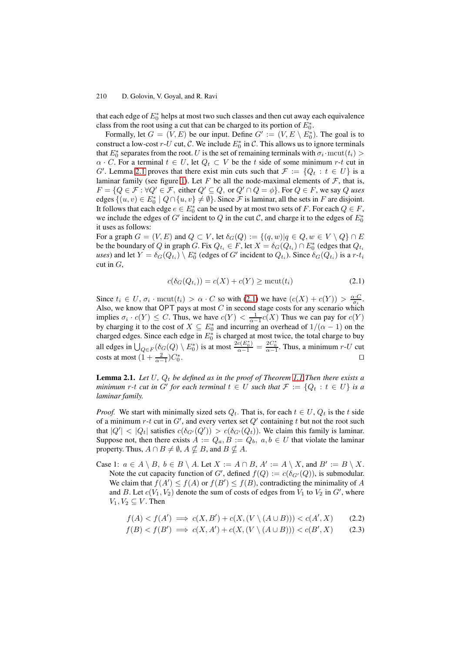that each edge of  $E_{0}^{\ast}$  helps at most two such classes and then cut away each equivalence class from the root using a cut that can be charged to its portion of  $E_0^*$ .

Formally, let  $G = (V, E)$  be our input. Define  $G' := (V, E \setminus E_0^*)$ . The goal is to construct a low-cost r-U cut, C. We include  $E_0^*$  in C. This allows us to ignore terminals that  $E_0^*$  separates from the root.  $U$  is the set of remaining terminals with  $\sigma_i \cdot \text{mcut}(t_i) >$  $\alpha \cdot C$ . For a terminal  $t \in U$ , let  $Q_t \subset V$  be the t side of some minimum r-t cut in G'. Lemma [2.1](#page-4-0) proves that there exist min cuts such that  $\mathcal{F} := \{Q_t : t \in U\}$  is a laminar family (see figure [1\)](#page-5-0). Let  $F$  be all the node-maximal elements of  $\mathcal{F}$ , that is,  $F = \{Q \in \mathcal{F} : \forall Q' \in \mathcal{F}, \text{ either } Q' \subseteq Q, \text{ or } Q' \cap Q = \phi\}.$  For  $Q \in F$ , we say Q uses edges  $\{(u, v) \in E_0^* \mid Q \cap \{u, v\} \neq \emptyset\}$ . Since  $\mathcal F$  is laminar, all the sets in  $F$  are disjoint. It follows that each edge  $e \in E_0^*$  can be used by at most two sets of F. For each  $Q \in F,$ we include the edges of G' incident to Q in the cut C, and charge it to the edges of  $E_0^*$ it uses as follows:

For a graph  $G = (V, E)$  and  $Q \subset V$ , let  $\delta_G(Q) := \{(q, w) | q \in Q, w \in V \setminus Q\} \cap E$ be the boundary of  $Q$  in graph G. Fix  $Q_{t_i} \in F$ , let  $X = \delta_G(Q_{t_i}) \cap E_0^*$  (edges that  $Q_{t_i}$ *uses*) and let  $Y = \delta_G(Q_{t_i}) \setminus E_0^*$  (edges of  $G'$  incident to  $Q_{t_i}$ ). Since  $\delta_G(Q_{t_i})$  is a r- $t_i$ cut in  $G$ ,

<span id="page-4-1"></span>
$$
c(\delta_G(Q_{t_i})) = c(X) + c(Y) \ge \text{mcut}(t_i)
$$
\n
$$
(2.1)
$$

Since  $t_i \in U$ ,  $\sigma_i \cdot \text{mcut}(t_i) > \alpha \cdot C$  so with [\(2.1\)](#page-4-1) we have  $(c(X) + c(Y)) > \frac{\alpha \cdot C}{\sigma_i}$ . Also, we know that OPT pays at most  $C$  in second stage costs for any scenario which implies  $\sigma_i \cdot c(Y) \leq C$ . Thus, we have  $c(Y) < \frac{1}{\alpha - 1} c(X)$  Thus we can pay for  $c(Y)$  by charging it to the cost of  $X \subseteq E_0^*$  and incurring an overhead of  $1/(\alpha - 1)$  on the charged edges. Since each edge in  $E_0^*$  is charged at most twice, the total charge to buy all edges in  $\bigcup_{Q \in F} (\delta_G(Q) \setminus E_0^*)$  is at most  $\frac{2c(E_0^*)}{\alpha-1} = \frac{2C_0^*}{\alpha-1}$ . Thus, a minimum r-U cut costs at most  $(1 + \frac{2}{\alpha - 1})C_0^*$ .

<span id="page-4-0"></span>**Lemma 2.1.** Let  $U$ ,  $Q_t$  be defined as in the proof of Theorem [1.1](#page-2-0) Then there exists a  $m$ inimum  $r$ - $t$   $cut$  in  $G'$   $for$   $each$   $terminal$   $t \in U$   $such$   $that$   $\mathcal{F} := \{Q_t : t \in U\}$  is a *laminar family.*

*Proof.* We start with minimally sized sets  $Q_t$ . That is, for each  $t \in U$ ,  $Q_t$  is the t side of a minimum r-t cut in G', and every vertex set  $Q'$  containing t but not the root such that  $|Q'| < |Q_t|$  satisfies  $c(\delta_{G'}(Q')) > c(\delta_{G'}(Q_t))$ . We claim this family is laminar. Suppose not, then there exists  $A := Q_a, B := Q_b, a, b \in U$  that violate the laminar property. Thus,  $A \cap B \neq \emptyset$ ,  $A \nsubseteq B$ , and  $B \nsubseteq A$ .

Case 1:  $a \in A \setminus B$ ,  $b \in B \setminus A$ . Let  $X := A \cap B$ ,  $A' := A \setminus X$ , and  $B' := B \setminus X$ . Note the cut capacity function of G', defined  $f(Q) := c(\delta_{G'}(Q))$ , is submodular. We claim that  $f(A') \leq f(A)$  or  $f(B') \leq f(B)$ , contradicting the minimality of A and B. Let  $c(V_1, V_2)$  denote the sum of costs of edges from  $V_1$  to  $V_2$  in  $G'$ , where  $V_1, V_2 \subseteq V$ . Then

<span id="page-4-3"></span><span id="page-4-2"></span>
$$
f(A) < f(A') \implies c(X, B') + c(X, (V \setminus (A \cup B))) < c(A', X) \tag{2.2}
$$

$$
f(B) < f(B') \implies c(X, A') + c(X, (V \setminus (A \cup B))) < c(B', X) \tag{2.3}
$$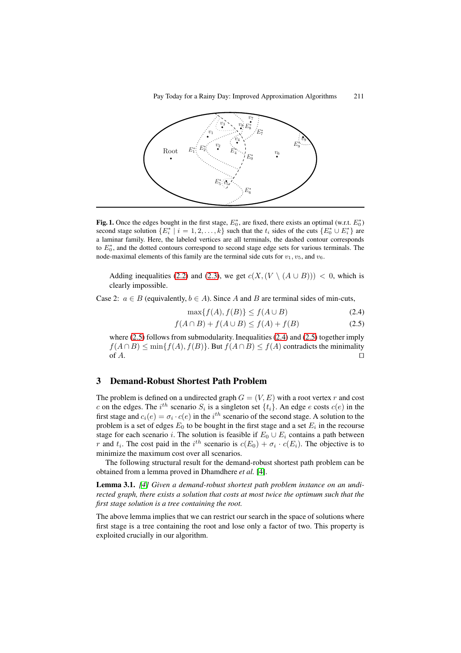

<span id="page-5-0"></span>Fig. 1. Once the edges bought in the first stage,  $E_0^*$ , are fixed, there exists an optimal (w.r.t.  $E_0^*$ ) second stage solution  $\{E_i^* | i = 1, 2, \ldots, k\}$  such that the  $t_i$  sides of the cuts  $\{E_0^* \cup E_i^*\}$  are a laminar family. Here, the labeled vertices are all terminals, the dashed contour corresponds to  $E_0^*$ , and the dotted contours correspond to second stage edge sets for various terminals. The node-maximal elements of this family are the terminal side cuts for  $v_1, v_5$ , and  $v_6$ .

Adding inequalities [\(2.2\)](#page-4-2) and [\(2.3\)](#page-4-3), we get  $c(X,(V \setminus (A \cup B))) < 0$ , which is clearly impossible.

Case 2:  $a \in B$  (equivalently,  $b \in A$ ). Since A and B are terminal sides of min-cuts,

<span id="page-5-2"></span><span id="page-5-1"></span>
$$
\max\{f(A), f(B)\} \le f(A \cup B) \tag{2.4}
$$

$$
f(A \cap B) + f(A \cup B) \le f(A) + f(B) \tag{2.5}
$$

where  $(2.5)$  follows from submodularity. Inequalities  $(2.4)$  and  $(2.5)$  together imply  $f(A \cap B) \le \min\{f(A), f(B)\}\$ . But  $f(A \cap B) \le f(A)$  contradicts the minimality of  $A$ .

# **3 Demand-Robust Shortest Path Problem**

The problem is defined on a undirected graph  $G = (V, E)$  with a root vertex r and cost c on the edges. The  $i^{th}$  scenario  $S_i$  is a singleton set  $\{t_i\}$ . An edge e costs  $c(e)$  in the first stage and  $c_i(e) = \sigma_i \cdot c(e)$  in the  $i^{th}$  scenario of the second stage. A solution to the problem is a set of edges  $E_0$  to be bought in the first stage and a set  $E_i$  in the recourse stage for each scenario i. The solution is feasible if  $E_0 \cup E_i$  contains a path between r and  $t_i$ . The cost paid in the  $i^{th}$  scenario is  $c(E_0) + \sigma_i \cdot c(E_i)$ . The objective is to minimize the maximum cost over all scenarios.

The following structural result for the demand-robust shortest path problem can be obtained from a lemma proved in Dhamdhere *et al.* [\[4\]](#page-11-0).

**Lemma 3.1.** *[\[4\]](#page-11-0) Given a demand-robust shortest path problem instance on an undirected graph, there exists a solution that costs at most twice the optimum such that the first stage solution is a tree containing the root.*

The above lemma implies that we can restrict our search in the space of solutions where first stage is a tree containing the root and lose only a factor of two. This property is exploited crucially in our algorithm.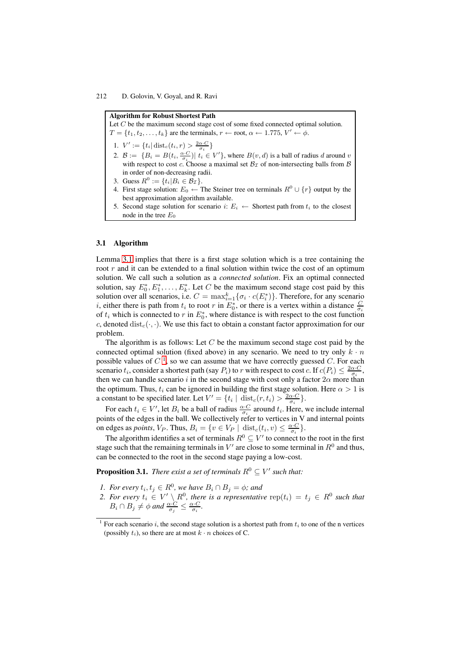**Algorithm for Robust Shortest Path**

Let C be the maximum second stage cost of some fixed connected optimal solution.  $T = \{t_1, t_2, \dots, t_k\}$  are the terminals,  $r \leftarrow \text{root}, \alpha \leftarrow 1.775, V' \leftarrow \phi$ .

- 1.  $V' := \{t_i | \text{dist}_c(t_i, r) > \frac{2\alpha \cdot C}{\sigma_i}\}\$
- 2.  $B := \{B_i = B(t_i, \frac{\alpha \cdot C}{\sigma_i}\}\mid t_i \in V'\}$ , where  $B(v, d)$  is a ball of radius d around v with respect to cost c. Choose a maximal set  $\mathcal{B}_{\mathcal{I}}$  of non-intersecting balls from  $\mathcal B$ in order of non-decreasing radii.
- 3. Guess  $R^0 := \{t_i | B_i \in \mathcal{B}_{\mathcal{I}}\}.$
- 4. First stage solution:  $E_0$  ← The Steiner tree on terminals  $R^0 \cup \{r\}$  output by the best approximation algorithm available.
- 5. Second stage solution for scenario i:  $E_i \leftarrow$  Shortest path from  $t_i$  to the closest node in the tree  $E_0$

## **3.1 Algorithm**

Lemma [3.1](#page-4-0) implies that there is a first stage solution which is a tree containing the root  $r$  and it can be extended to a final solution within twice the cost of an optimum solution. We call such a solution as a *connected solution*. Fix an optimal connected solution, say  $E_0^*, E_1^*, \ldots, E_k^*$ . Let C be the maximum second stage cost paid by this solution over all scenarios, i.e.  $C = \max_{i=1}^{k} {\{\sigma_i \cdot c(E_i^*)\}}$ . Therefore, for any scenario *i*, either there is path from  $t_i$  to root r in  $E_0^*$ , or there is a vertex within a distance  $\frac{C}{\sigma_i}$ of  $t_i$  which is connected to r in  $E_0^*$ , where distance is with respect to the cost function c, denoted  $dist_c(\cdot, \cdot)$ . We use this fact to obtain a constant factor approximation for our problem.

The algorithm is as follows: Let  $C$  be the maximum second stage cost paid by the connected optimal solution (fixed above) in any scenario. We need to try only  $k \cdot n$ possible values of  $C<sup>1</sup>$  $C<sup>1</sup>$  $C<sup>1</sup>$ , so we can assume that we have correctly guessed C. For each scenario  $t_i$ , consider a shortest path (say  $P_i$ ) to r with respect to cost c. If  $c(P_i) \leq \frac{2\alpha \cdot C}{\sigma_i}$ , then we can handle scenario i in the second stage with cost only a factor  $2\alpha$  more than the optimum. Thus,  $t_i$  can be ignored in building the first stage solution. Here  $\alpha > 1$  is a constant to be specified later. Let  $V' = \{t_i \mid \text{dist}_c(r, t_i) > \frac{2\alpha \cdot C}{\sigma_i}\}.$ 

For each  $t_i \in V'$ , let  $B_i$  be a ball of radius  $\frac{\alpha \cdot C}{\sigma_i}$  around  $t_i$ . Here, we include internal points of the edges in the ball. We collectively refer to vertices in V and internal points on edges as *points*,  $V_P$ . Thus,  $B_i = \{v \in V_P \mid \text{dist}_c(t_i, v) \leq \frac{\alpha \cdot C}{\sigma_i}\}.$ 

The algorithm identifies a set of terminals  $R^0 \subseteq V'$  to connect to the root in the first stage such that the remaining terminals in  $V'$  are close to some terminal in  $R^0$  and thus, can be connected to the root in the second stage paying a low-cost.

**Proposition 3.1.** *There exist a set of terminals*  $R^0 \subseteq V'$  *such that:* 

- <span id="page-6-1"></span>*1. For every*  $t_i, t_j \in R^0$ , we have  $B_i \cap B_j = \phi$ ; and
- 2. For every  $t_i \in V' \setminus R^0$ , there is a representative  $\text{rep}(t_i) = t_j \in R^0$  such that  $B_i \cap B_j \neq \emptyset$  and  $\frac{\alpha \cdot C}{\sigma_j} \leq \frac{\alpha \cdot C}{\sigma_i}$ .

<span id="page-6-0"></span><sup>&</sup>lt;sup>1</sup> For each scenario i, the second stage solution is a shortest path from  $t_i$  to one of the n vertices (possibly  $t_i$ ), so there are at most  $k \cdot n$  choices of C.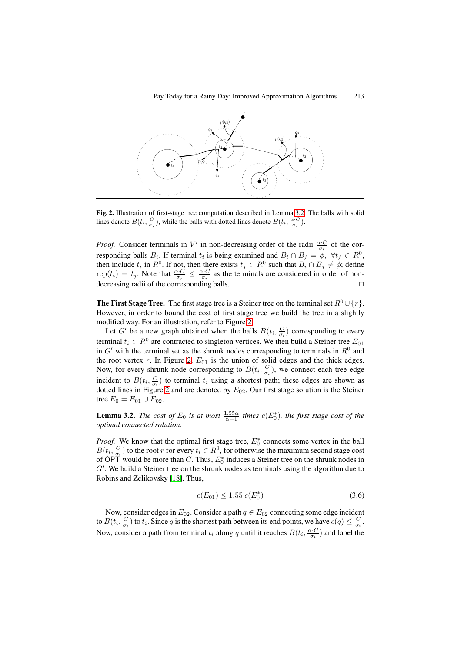

<span id="page-7-1"></span>**Fig. 2.** Illustration of first-stage tree computation described in Lemma [3.2.](#page-7-0) The balls with solid lines denote  $B(t_i, \frac{C}{\sigma_i})$ , while the balls with dotted lines denote  $B(t_i, \frac{\alpha \cdot C}{\sigma_i})$ .

*Proof.* Consider terminals in V' in non-decreasing order of the radii  $\frac{\alpha \cdot C}{\sigma_t}$  of the corresponding balls  $B_t$ . If terminal  $t_i$  is being examined and  $B_i \cap B_j = \phi$ ,  $\forall t_j \in R^0$ , then include  $t_i$  in  $R^0$ . If not, then there exists  $t_j \in R^0$  such that  $B_i \cap B_j \neq \phi$ ; define  $\text{rep}(t_i) = t_j$ . Note that  $\frac{\alpha \cdot C}{\sigma_j} \leq \frac{\alpha \cdot C}{\sigma_i}$  as the terminals are considered in order of nondecreasing radii of the corresponding balls.

**The First Stage Tree.** The first stage tree is a Steiner tree on the terminal set  $R^0 \cup \{r\}$ . However, in order to bound the cost of first stage tree we build the tree in a slightly modified way. For an illustration, refer to Figure [2.](#page-7-1)

Let G' be a new graph obtained when the balls  $B(t_i, \frac{C}{\sigma_i})$  corresponding to every terminal  $t_i \in R^0$  are contracted to singleton vertices. We then build a Steiner tree  $E_{01}$ in  $G'$  with the terminal set as the shrunk nodes corresponding to terminals in  $R^0$  and the root vertex  $r$ . In Figure [2,](#page-7-1)  $E_{01}$  is the union of solid edges and the thick edges. Now, for every shrunk node corresponding to  $B(t_i, \frac{C}{\sigma_i})$ , we connect each tree edge incident to  $B(t_i, \frac{C}{\sigma_i})$  to terminal  $t_i$  using a shortest path; these edges are shown as dotted lines in Figure [2](#page-7-1) and are denoted by  $E_{02}$ . Our first stage solution is the Steiner tree  $E_0 = E_{01} \cup E_{02}$ .

<span id="page-7-0"></span>**Lemma 3.2.** *The cost of*  $E_0$  *is at most*  $\frac{1.55\alpha}{\alpha-1}$  *times*  $c(E_0^*)$ *, the first stage cost of the optimal connected solution.*

*Proof.* We know that the optimal first stage tree,  $E_0^*$  connects some vertex in the ball  $B(t_i, \frac{C}{\sigma_i})$  to the root r for every  $t_i \in R^0$ , for otherwise the maximum second stage cost of OPT would be more than C. Thus,  $E_0^*$  induces a Steiner tree on the shrunk nodes in  $G'$ . We build a Steiner tree on the shrunk nodes as terminals using the algorithm due to Robins and Zelikovsky [\[18\]](#page-11-18). Thus,

<span id="page-7-2"></span>
$$
c(E_{01}) \le 1.55 \, c(E_0^*) \tag{3.6}
$$

Now, consider edges in  $E_{02}$ . Consider a path  $q \in E_{02}$  connecting some edge incident to  $B(t_i, \frac{C}{\sigma_i})$  to  $t_i$ . Since q is the shortest path between its end points, we have  $c(q) \leq \frac{C}{\sigma_i}$ . Now, consider a path from terminal  $t_i$  along q until it reaches  $B(t_i, \frac{\alpha \cdot C}{\sigma_i})$  and label the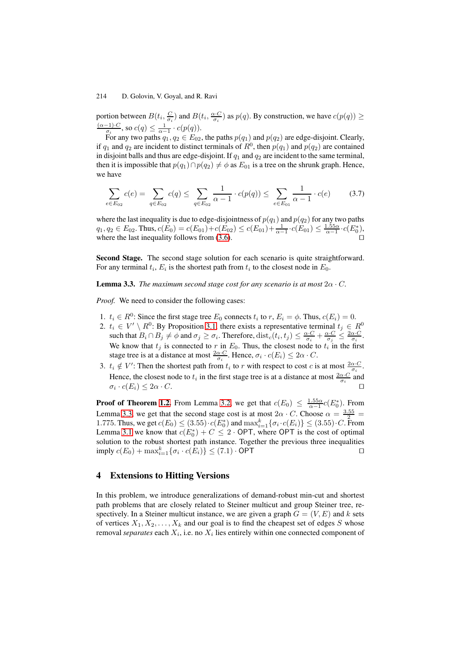portion between  $B(t_i, \frac{C}{\sigma_i})$  and  $B(t_i, \frac{\alpha \cdot C}{\sigma_i})$  as  $p(q)$ . By construction, we have  $c(p(q)) \ge$  $\frac{(\alpha-1)\cdot C}{\sigma_i}$ , so  $c(q) \leq \frac{1}{\alpha-1} \cdot c(p(q)).$ 

For any two paths  $q_1, q_2 \in E_{02}$ , the paths  $p(q_1)$  and  $p(q_2)$  are edge-disjoint. Clearly, if  $q_1$  and  $q_2$  are incident to distinct terminals of  $R^0$ , then  $p(q_1)$  and  $p(q_2)$  are contained in disjoint balls and thus are edge-disjoint. If  $q_1$  and  $q_2$  are incident to the same terminal, then it is impossible that  $p(q_1) \cap p(q_2) \neq \emptyset$  as  $E_{01}$  is a tree on the shrunk graph. Hence, we have

$$
\sum_{e \in E_{02}} c(e) = \sum_{q \in E_{02}} c(q) \le \sum_{q \in E_{02}} \frac{1}{\alpha - 1} \cdot c(p(q)) \le \sum_{e \in E_{01}} \frac{1}{\alpha - 1} \cdot c(e) \tag{3.7}
$$

where the last inequality is due to edge-disjointness of  $p(q_1)$  and  $p(q_2)$  for any two paths  $q_1, q_2 \in E_{02}$ . Thus,  $c(E_0) = c(E_{01}) + c(E_{02}) \leq c(E_{01}) + \frac{1}{\alpha - 1} \cdot c(E_{01}) \leq \frac{1.55\alpha}{\alpha - 1} \cdot c(E_0^*),$ where the last inequality follows from  $(3.6)$ .

<span id="page-8-1"></span>**Second Stage.** The second stage solution for each scenario is quite straightforward. For any terminal  $t_i$ ,  $E_i$  is the shortest path from  $t_i$  to the closest node in  $E_0$ .

**Lemma 3.3.** *The maximum second stage cost for any scenario is at most*  $2\alpha \cdot C$ *.* 

*Proof.* We need to consider the following cases:

- 1.  $t_i \in R^0$ : Since the first stage tree  $E_0$  connects  $t_i$  to  $r, E_i = \phi$ . Thus,  $c(E_i) = 0$ .
- 2.  $t_i \in V' \setminus R^0$ : By Proposition [3.1,](#page-6-1) there exists a representative terminal  $t_j \in R^0$ such that  $B_i \cap B_j \neq \phi$  and  $\sigma_j \geq \sigma_i$ . Therefore,  $\text{dist}_c(t_i, t_j) \leq \frac{\alpha \cdot C}{\sigma_i} + \frac{\alpha \cdot C}{\sigma_j} \leq \frac{2\alpha \cdot C}{\sigma_i}$ . We know that  $t_j$  is connected to r in  $E_0$ . Thus, the closest node to  $t_i$  in the first stage tree is at a distance at most  $\frac{2\alpha \cdot C}{\sigma_i}$ . Hence,  $\sigma_i \cdot c(E_i) \leq 2\alpha \cdot C$ .
- 3.  $t_i \notin V'$ : Then the shortest path from  $t_i$  to r with respect to cost c is at most  $\frac{2\alpha \cdot C}{\sigma_i}$ . Hence, the closest node to  $t_i$  in the first stage tree is at a distance at most  $\frac{2\alpha \cdot C}{\sigma_i}$  and  $\sigma_i \cdot c(E_i) \leq 2\alpha \cdot C.$

**Proof of Theorem [1.2.](#page-2-1)** From Lemma [3.2,](#page-7-0) we get that  $c(E_0) \leq \frac{1.55\alpha}{\alpha - 1}c(E_0^*)$ . From Lemma [3.3,](#page-8-1) we get that the second stage cost is at most  $2\alpha \cdot C$ . Choose  $\alpha = \frac{3.55}{2}$ 1.775. Thus, we get  $c(E_0) \leq (3.55) \cdot c(E_0^*)$  and  $\max_{i=1}^k {\{\sigma_i \cdot c(E_i)\}} \leq (3.55) \cdot C$ . From Lemma [3.1](#page-4-0) we know that  $c(E_0^*) + C \leq 2 \cdot \text{OPT}$ , where OPT is the cost of optimal solution to the robust shortest path instance. Together the previous three inequalities imply  $c(E_0) + \max_{i=1}^k {\sigma_i \cdot c(E_i)} \le (7.1) \cdot \textsf{OPT}$ 

# <span id="page-8-0"></span>**4 Extensions to Hitting Versions**

In this problem, we introduce generalizations of demand-robust min-cut and shortest path problems that are closely related to Steiner multicut and group Steiner tree, respectively. In a Steiner multicut instance, we are given a graph  $G = (V, E)$  and k sets of vertices  $X_1, X_2, \ldots, X_k$  and our goal is to find the cheapest set of edges S whose removal *separates* each  $X_i$ , i.e. no  $X_i$  lies entirely within one connected component of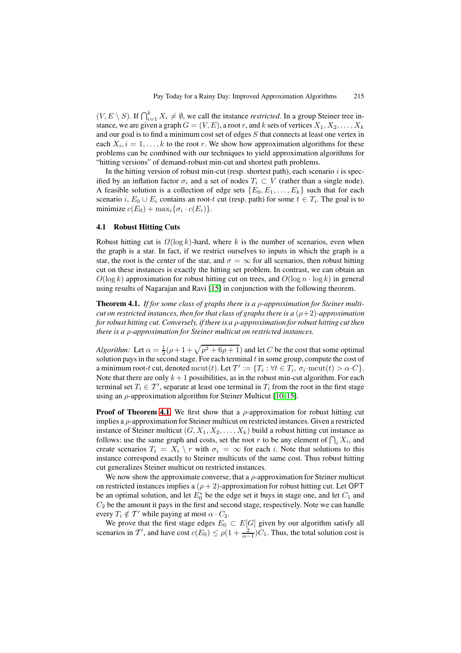$(V, E \setminus S)$ . If  $\bigcap_{i=1}^k X_i \neq \emptyset$ , we call the instance *restricted*. In a group Steiner tree instance, we are given a graph  $G = (V, E)$ , a root r, and k sets of vertices  $X_1, X_2, \ldots, X_k$ and our goal is to find a minimum cost set of edges  $S$  that connects at least one vertex in each  $X_i$ ,  $i = 1, \ldots, k$  to the root r. We show how approximation algorithms for these problems can be combined with our techniques to yield approximation algorithms for "hitting versions" of demand-robust min-cut and shortest path problems.

In the hitting version of robust min-cut (resp. shortest path), each scenario  $i$  is specified by an inflation factor  $\sigma_i$  and a set of nodes  $T_i \subset V$  (rather than a single node). A feasible solution is a collection of edge sets  $\{E_0, E_1, \ldots, E_k\}$  such that for each scenario i,  $E_0 \cup E_i$  contains an root-t cut (resp. path) for some  $t \in T_i$ . The goal is to minimize  $c(E_0) + \max_i {\sigma_i \cdot c(E_i)}$ .

## **4.1 Robust Hitting Cuts**

Robust hitting cut is  $\Omega(\log k)$ -hard, where k is the number of scenarios, even when the graph is a star. In fact, if we restrict ourselves to inputs in which the graph is a star, the root is the center of the star, and  $\sigma = \infty$  for all scenarios, then robust hitting cut on these instances is exactly the hitting set problem. In contrast, we can obtain an  $O(\log k)$  approximation for robust hitting cut on trees, and  $O(\log n \cdot \log k)$  in general using results of Nagarajan and Ravi [\[15\]](#page-11-19) in conjunction with the following theorem.

<span id="page-9-0"></span>**Theorem 4.1.** *If for some class of graphs there is a* ρ*-approximation for Steiner multicut on restricted instances, then for that class of graphs there is a*  $(\rho+2)$ *-approximation for robust hitting cut. Conversely, if there is a* ρ*-approximation for robust hitting cut then there is a* ρ*-approximation for Steiner multicut on restricted instances.*

*Algorithm:* Let  $\alpha = \frac{1}{2}(\rho + 1 + \sqrt{\rho^2 + 6\rho + 1})$  and let C be the cost that some optimal solution pays in the second stage. For each terminal  $t$  in some group, compute the cost of a minimum root-t cut, denoted  $\mathrm{mcut}(t)$ . Let  $\mathcal{T}' := \{T_i : \forall t \in T_i, \ \sigma_i \cdot \mathrm{mcut}(t) > \alpha \cdot C\}.$ Note that there are only  $k + 1$  possibilities, as in the robust min-cut algorithm. For each terminal set  $T_i \in \mathcal{T}'$ , separate at least one terminal in  $T_i$  from the root in the first stage using an  $\rho$ -approximation algorithm for Steiner Multicut [\[10,](#page-11-20) [15\]](#page-11-19).

**Proof of Theorem [4.1.](#page-9-0)** We first show that a  $\rho$ -approximation for robust hitting cut implies a  $\rho$ -approximation for Steiner multicut on restricted instances. Given a restricted instance of Steiner multicut  $(G, X_1, X_2, \ldots, X_k)$  build a robust hitting cut instance as follows: use the same graph and costs, set the root r to be any element of  $\bigcap_i X_i$ , and create scenarios  $T_i = X_i \setminus r$  with  $\sigma_i = \infty$  for each i. Note that solutions to this instance correspond exactly to Steiner multicuts of the same cost. Thus robust hitting cut generalizes Steiner multicut on restricted instances.

We now show the approximate converse, that a  $\rho$ -approximation for Steiner multicut on restricted instances implies a  $(\rho + 2)$ -approximation for robust hitting cut. Let OPT be an optimal solution, and let  $E_0^*$  be the edge set it buys in stage one, and let  $C_1$  and  $C_2$  be the amount it pays in the first and second stage, respectively. Note we can handle every  $T_i \notin \mathcal{T}'$  while paying at most  $\alpha \cdot C_2$ .

We prove that the first stage edges  $E_0 \subset E[G]$  given by our algorithm satisfy all scenarios in T', and have cost  $c(E_0) \le \rho(1 + \frac{2}{\alpha - 1})C_1$ . Thus, the total solution cost is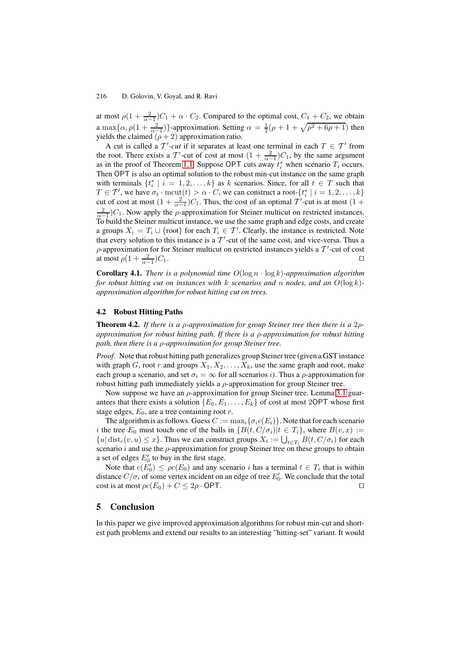at most  $\rho(1+\frac{2}{\alpha-1})C_1 + \alpha \cdot C_2$ . Compared to the optimal cost,  $C_1 + C_2$ , we obtain a max $\{\alpha, \rho(1+\frac{2}{\alpha-1})\}$ -approximation. Setting  $\alpha = \frac{1}{2}(\rho + 1 + \sqrt{\rho^2 + 6\rho + 1})$  then yields the claimed  $(\rho + 2)$  approximation ratio.

A cut is called a  $T'$ -cut if it separates at least one terminal in each  $T \in T'$  from the root. There exists a T'-cut of cost at most  $(1 + \frac{2}{\alpha - 1})C_1$ , by the same argument as in the proof of Theorem [1.1.](#page-2-0) Suppose OPT cuts away  $t_i^*$  when scenario  $T_i$  occurs. Then OPT is also an optimal solution to the robust min-cut instance on the same graph with terminals  $\{t_i^* \mid i = 1, 2, \ldots, k\}$  as k scenarios. Since, for all  $t \in T$  such that  $T \in \mathcal{T}'$ , we have  $\sigma_t \cdot \text{mcut}(t) > \alpha \cdot C$ , we can construct a root- $\{t_i^* \mid i = 1, 2, \dots, k\}$ cut of cost at most  $(1 + \frac{2}{\alpha - 1})C_1$ . Thus, the cost of an optimal T'-cut is at most  $(1 + \frac{2}{\alpha - 1})C_1$ .  $\frac{2}{\alpha-1}$ )C<sub>1</sub>. Now apply the  $\rho$ -approximation for Steiner multicut on restricted instances.<br>To build the Steiner multicut instance, we use the same graph and edge costs, and create a groups  $X_i = T_i \cup \{\text{root}\}\$ for each  $T_i \in \mathcal{T}'$ . Clearly, the instance is restricted. Note that every solution to this instance is a  $T'$ -cut of the same cost, and vice-versa. Thus a  $\rho$ -approximation for for Steiner multicut on restricted instances yields a  $T'$ -cut of cost at most  $\rho(1+\frac{2}{\alpha-1})C_1$ .  $\frac{2}{\alpha-1}$ )C<sub>1</sub>.

**Corollary 4.1.** *There is a polynomial time* O(log n · log k)*-approximation algorithm for robust hitting cut on instances with*  $k$  *scenarios and*  $n$  *nodes, and an*  $O(\log k)$ *approximation algorithm for robust hitting cut on trees.*

## **4.2 Robust Hitting Paths**

**Theorem 4.2.** *If there is a* ρ*-approximation for group Steiner tree then there is a* 2ρ*approximation for robust hitting path. If there is a* ρ*-approximation for robust hitting path, then there is a* ρ*-approximation for group Steiner tree.*

*Proof.* Note that robust hitting path generalizes group Steiner tree (given a GST instance with graph G, root r and groups  $X_1, X_2, \ldots, X_k$ , use the same graph and root, make each group a scenario, and set  $\sigma_i = \infty$  for all scenarios *i*). Thus a  $\rho$ -approximation for robust hitting path immediately yields a ρ-approximation for group Steiner tree.

Now suppose we have an  $\rho$ -approximation for group Steiner tree. Lemma [3.1](#page-4-0) guarantees that there exists a solution  $\{E_0, E_1, \ldots, E_k\}$  of cost at most 20PT whose first stage edges,  $E_0$ , are a tree containing root r.

The algorithm is as follows. Guess  $C := \max_i {\{\sigma_i c(E_i)\}}$ . Note that for each scenario i the tree  $E_0$  must touch one of the balls in  $\{B(t, C/\sigma_i)|t \in T_i\}$ , where  $B(v, x) :=$  $\{u | \text{dist}_c(v, u) \leq x\}.$  Thus we can construct groups  $X_i := \bigcup_{t \in T_i} B(t, C/\sigma_i)$  for each scenario  $i$  and use the  $\rho$ -approximation for group Steiner tree on these groups to obtain a set of edges  $E'_0$  to buy in the first stage.

Note that  $c(E'_0) \le \rho c(E_0)$  and any scenario i has a terminal  $t \in T_i$  that is within distance  $C/\sigma_i$  of some vertex incident on an edge of tree  $E'_0$ . We conclude that the total cost is at most  $\rho c(E_0) + C \leq 2\rho \cdot \text{OPT}$ .

# **5 Conclusion**

In this paper we give improved approximation algorithms for robust min-cut and shortest path problems and extend our results to an interesting "hitting-set" variant. It would